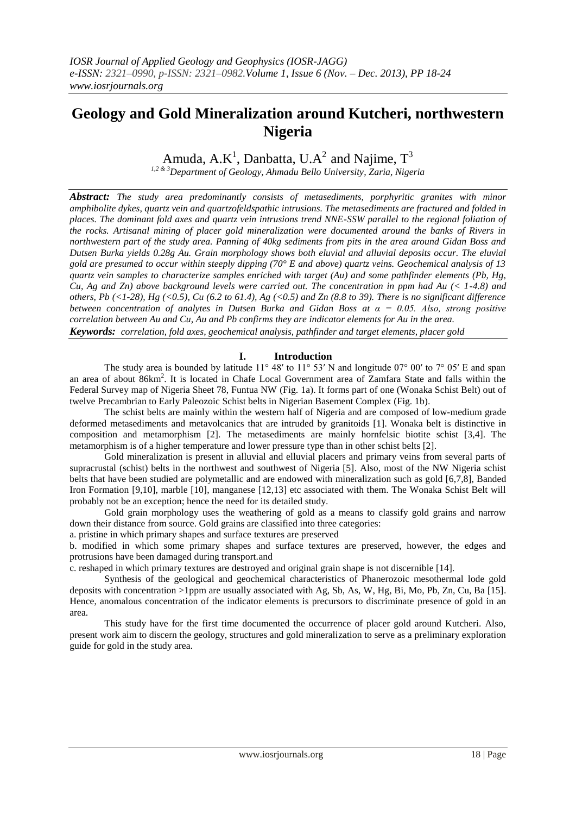# **Geology and Gold Mineralization around Kutcheri, northwestern Nigeria**

Amuda, A.K<sup>1</sup>, Danbatta, U.A<sup>2</sup> and Najime,  $T^3$ 

*1,2 & 3Department of Geology, Ahmadu Bello University, Zaria, Nigeria*

*Abstract: The study area predominantly consists of metasediments, porphyritic granites with minor amphibolite dykes, quartz vein and quartzofeldspathic intrusions. The metasediments are fractured and folded in places. The dominant fold axes and quartz vein intrusions trend NNE-SSW parallel to the regional foliation of the rocks. Artisanal mining of placer gold mineralization were documented around the banks of Rivers in northwestern part of the study area. Panning of 40kg sediments from pits in the area around Gidan Boss and Dutsen Burka yields 0.28g Au. Grain morphology shows both eluvial and alluvial deposits occur. The eluvial gold are presumed to occur within steeply dipping (70° E and above) quartz veins. Geochemical analysis of 13 quartz vein samples to characterize samples enriched with target (Au) and some pathfinder elements (Pb, Hg, Cu, Ag and Zn) above background levels were carried out. The concentration in ppm had Au (< 1-4.8) and others, Pb (<1-28), Hg (<0.5), Cu (6.2 to 61.4), Ag (<0.5) and Zn (8.8 to 39). There is no significant difference between concentration of analytes in Dutsen Burka and Gidan Boss at α = 0.05. Also, strong positive correlation between Au and Cu, Au and Pb confirms they are indicator elements for Au in the area. Keywords: correlation, fold axes, geochemical analysis, pathfinder and target elements, placer gold*

## **I. Introduction**

The study area is bounded by latitude  $11^{\circ}$  48' to  $11^{\circ}$  53' N and longitude 07° 00' to 7° 05' E and span an area of about 86km<sup>2</sup>. It is located in Chafe Local Government area of Zamfara State and falls within the Federal Survey map of Nigeria Sheet 78, Funtua NW (Fig. 1a). It forms part of one (Wonaka Schist Belt) out of twelve Precambrian to Early Paleozoic Schist belts in Nigerian Basement Complex (Fig. 1b).

The schist belts are mainly within the western half of Nigeria and are composed of low-medium grade deformed metasediments and metavolcanics that are intruded by granitoids [1]. Wonaka belt is distinctive in composition and metamorphism [2]. The metasediments are mainly hornfelsic biotite schist [3,4]. The metamorphism is of a higher temperature and lower pressure type than in other schist belts [2].

Gold mineralization is present in alluvial and elluvial placers and primary veins from several parts of supracrustal (schist) belts in the northwest and southwest of Nigeria [5]. Also, most of the NW Nigeria schist belts that have been studied are polymetallic and are endowed with mineralization such as gold [6,7,8], Banded Iron Formation [9,10], marble [10], manganese [12,13] etc associated with them. The Wonaka Schist Belt will probably not be an exception; hence the need for its detailed study.

Gold grain morphology uses the weathering of gold as a means to classify gold grains and narrow down their distance from source. Gold grains are classified into three categories:

a. pristine in which primary shapes and surface textures are preserved

b. modified in which some primary shapes and surface textures are preserved, however, the edges and protrusions have been damaged during transport.and

c. reshaped in which primary textures are destroyed and original grain shape is not discernible [14].

Synthesis of the geological and geochemical characteristics of Phanerozoic mesothermal lode gold deposits with concentration >1ppm are usually associated with Ag, Sb, As, W, Hg, Bi, Mo, Pb, Zn, Cu, Ba [15]. Hence, anomalous concentration of the indicator elements is precursors to discriminate presence of gold in an area.

This study have for the first time documented the occurrence of placer gold around Kutcheri. Also, present work aim to discern the geology, structures and gold mineralization to serve as a preliminary exploration guide for gold in the study area.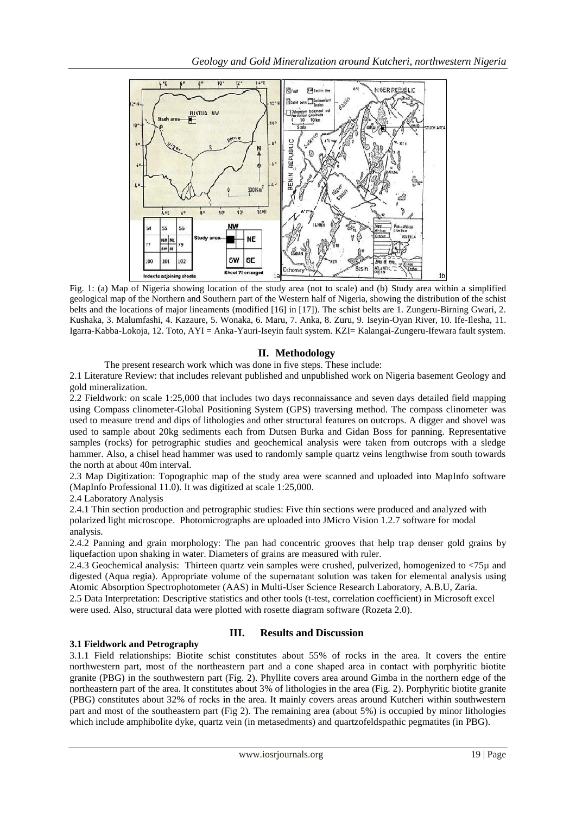

Fig. 1: (a) Map of Nigeria showing location of the study area (not to scale) and (b) Study area within a simplified geological map of the Northern and Southern part of the Western half of Nigeria, showing the distribution of the schist belts and the locations of major lineaments (modified [16] in [17]). The schist belts are 1. Zungeru-Birning Gwari, 2. Kushaka, 3. Malumfashi, 4. Kazaure, 5. Wonaka, 6. Maru, 7. Anka, 8. Zuru, 9. Iseyin-Oyan River, 10. Ife-Ilesha, 11. Igarra-Kabba-Lokoja, 12. Toto, AYI = Anka-Yauri-Iseyin fault system. KZI= Kalangai-Zungeru-Ifewara fault system.

## **II. Methodology**

The present research work which was done in five steps. These include:

2.1 Literature Review: that includes relevant published and unpublished work on Nigeria basement Geology and gold mineralization.

2.2 Fieldwork: on scale 1:25,000 that includes two days reconnaissance and seven days detailed field mapping using Compass clinometer-Global Positioning System (GPS) traversing method. The compass clinometer was used to measure trend and dips of lithologies and other structural features on outcrops. A digger and shovel was used to sample about 20kg sediments each from Dutsen Burka and Gidan Boss for panning. Representative samples (rocks) for petrographic studies and geochemical analysis were taken from outcrops with a sledge hammer. Also, a chisel head hammer was used to randomly sample quartz veins lengthwise from south towards the north at about 40m interval.

2.3 Map Digitization: Topographic map of the study area were scanned and uploaded into MapInfo software (MapInfo Professional 11.0). It was digitized at scale 1:25,000.

2.4 Laboratory Analysis

2.4.1 Thin section production and petrographic studies: Five thin sections were produced and analyzed with polarized light microscope. Photomicrographs are uploaded into JMicro Vision 1.2.7 software for modal analysis.

2.4.2 Panning and grain morphology: The pan had concentric grooves that help trap denser gold grains by liquefaction upon shaking in water. Diameters of grains are measured with ruler.

2.4.3 Geochemical analysis: Thirteen quartz vein samples were crushed, pulverized, homogenized to <75µ and digested (Aqua regia). Appropriate volume of the supernatant solution was taken for elemental analysis using Atomic Absorption Spectrophotometer (AAS) in Multi-User Science Research Laboratory, A.B.U, Zaria.

2.5 Data Interpretation: Descriptive statistics and other tools (t-test, correlation coefficient) in Microsoft excel were used. Also, structural data were plotted with rosette diagram software (Rozeta 2.0).

## **3.1 Fieldwork and Petrography**

# **III. Results and Discussion**

3.1.1 Field relationships: Biotite schist constitutes about 55% of rocks in the area. It covers the entire northwestern part, most of the northeastern part and a cone shaped area in contact with porphyritic biotite granite (PBG) in the southwestern part (Fig. 2). Phyllite covers area around Gimba in the northern edge of the northeastern part of the area. It constitutes about 3% of lithologies in the area (Fig. 2). Porphyritic biotite granite (PBG) constitutes about 32% of rocks in the area. It mainly covers areas around Kutcheri within southwestern part and most of the southeastern part (Fig 2). The remaining area (about 5%) is occupied by minor lithologies which include amphibolite dyke, quartz vein (in metasedments) and quartzofeldspathic pegmatites (in PBG).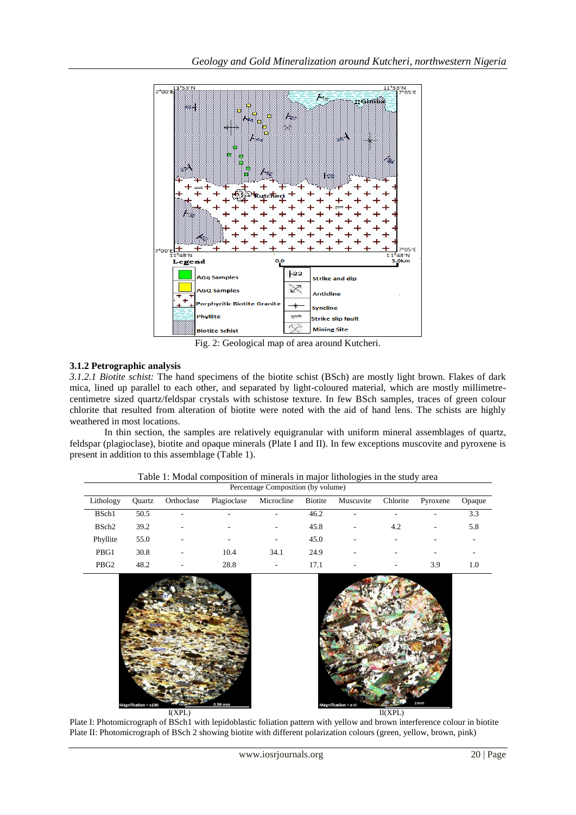

Fig. 2: Geological map of area around Kutcheri.

# **3.1.2 Petrographic analysis**

*3.1.2.1 Biotite schist:* The hand specimens of the biotite schist (BSch) are mostly light brown. Flakes of dark mica, lined up parallel to each other, and separated by light-coloured material, which are mostly millimetrecentimetre sized quartz/feldspar crystals with schistose texture. In few BSch samples, traces of green colour chlorite that resulted from alteration of biotite were noted with the aid of hand lens. The schists are highly weathered in most locations.

In thin section, the samples are relatively equigranular with uniform mineral assemblages of quartz, feldspar (plagioclase), biotite and opaque minerals (Plate I and II). In few exceptions muscovite and pyroxene is present in addition to this assemblage (Table 1).

| Lithology         | Ouartz | Orthoclase | Plagioclase | Microcline               | <b>Biotite</b> | Muscuvite | Chlorite                 | Pyroxene                 | Opaque |
|-------------------|--------|------------|-------------|--------------------------|----------------|-----------|--------------------------|--------------------------|--------|
| BSch1             | 50.5   | ٠          |             | $\overline{\phantom{a}}$ | 46.2           | ۰         | $\overline{\phantom{a}}$ | ۰.                       | 3.3    |
| BSch <sub>2</sub> | 39.2   | ٠          | ۰           | $\overline{\phantom{a}}$ | 45.8           | ۰         | 4.2                      | $\overline{\phantom{a}}$ | 5.8    |
| Phyllite          | 55.0   | ٠          | ۰           | $\overline{\phantom{a}}$ | 45.0           | ۰         | ۰                        | ۰                        | -      |
| PBG1              | 30.8   | ٠          | 10.4        | 34.1                     | 24.9           | ۰         | $\overline{\phantom{a}}$ | ۰                        | ۰      |
| PBG <sub>2</sub>  | 48.2   | -          | 28.8        | $\overline{\phantom{a}}$ | 17.1           | ۰         | $\overline{\phantom{a}}$ | 3.9                      | 1.0    |

Table 1: Modal composition of minerals in major lithologies in the study area





Plate I: Photomicrograph of BSch1 with lepidoblastic foliation pattern with yellow and brown interference colour in biotite Plate II: Photomicrograph of BSch 2 showing biotite with different polarization colours (green, yellow, brown, pink)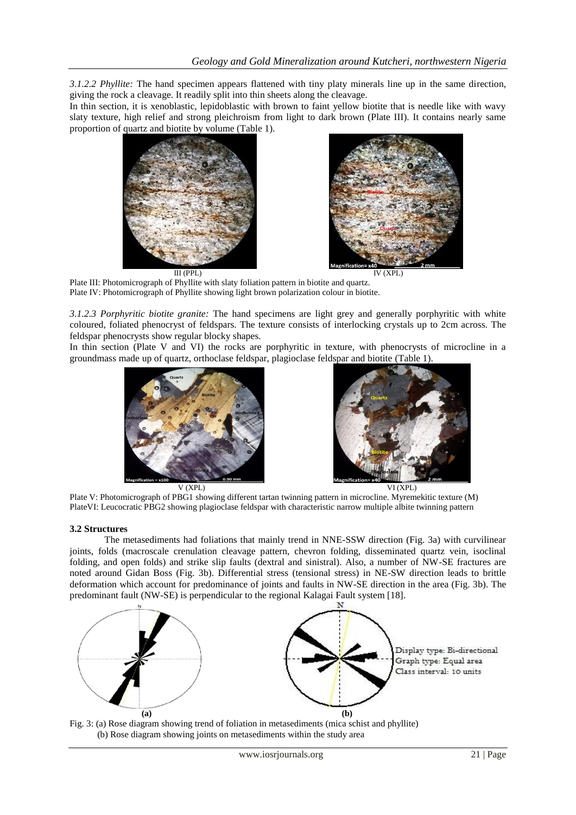*3.1.2.2 Phyllite:* The hand specimen appears flattened with tiny platy minerals line up in the same direction, giving the rock a cleavage. It readily split into thin sheets along the cleavage.

In thin section, it is xenoblastic, lepidoblastic with brown to faint yellow biotite that is needle like with wavy slaty texture, high relief and strong pleichroism from light to dark brown (Plate III). It contains nearly same proportion of quartz and biotite by volume (Table 1).





 III (PPL) IV (XPL) Plate III: Photomicrograph of Phyllite with slaty foliation pattern in biotite and quartz. Plate IV: Photomicrograph of Phyllite showing light brown polarization colour in biotite.

*3.1.2.3 Porphyritic biotite granite:* The hand specimens are light grey and generally porphyritic with white coloured, foliated phenocryst of feldspars. The texture consists of interlocking crystals up to 2cm across. The feldspar phenocrysts show regular blocky shapes.

In thin section (Plate V and VI) the rocks are porphyritic in texture, with phenocrysts of microcline in a groundmass made up of quartz, orthoclase feldspar, plagioclase feldspar and biotite (Table 1).





 V (XPL) VI (XPL) Plate V: Photomicrograph of PBG1 showing different tartan twinning pattern in microcline. Myremekitic texture (M) PlateVI: Leucocratic PBG2 showing plagioclase feldspar with characteristic narrow multiple albite twinning pattern

## **3.2 Structures**

The metasediments had foliations that mainly trend in NNE-SSW direction (Fig. 3a) with curvilinear joints, folds (macroscale crenulation cleavage pattern, chevron folding, disseminated quartz vein, isoclinal folding, and open folds) and strike slip faults (dextral and sinistral). Also, a number of NW-SE fractures are noted around Gidan Boss (Fig. 3b). Differential stress (tensional stress) in NE-SW direction leads to brittle deformation which account for predominance of joints and faults in NW-SE direction in the area (Fig. 3b). The predominant fault (NW-SE) is perpendicular to the regional Kalagai Fault system [18].



Fig. 3: (a) Rose diagram showing trend of foliation in metasediments (mica schist and phyllite) (b) Rose diagram showing joints on metasediments within the study area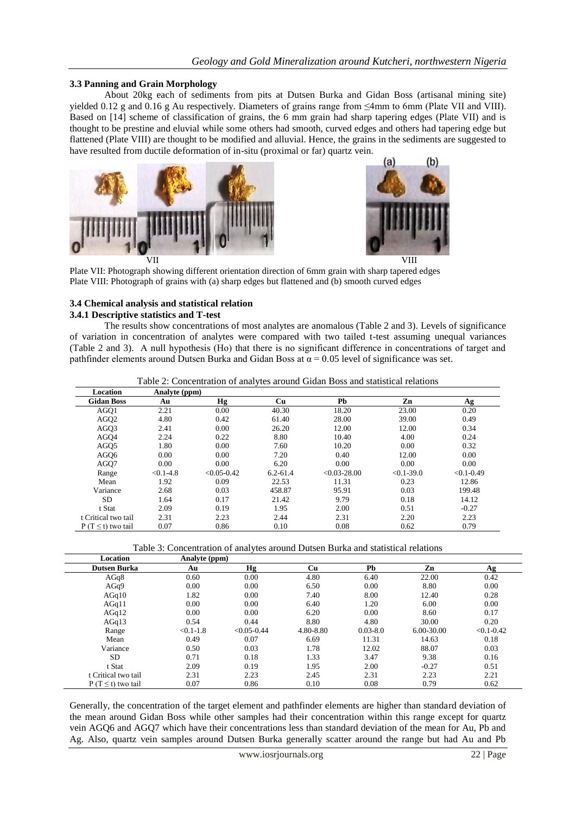#### **3.3 Panning and Grain Morphology**

About 20kg each of sediments from pits at Dutsen Burka and Gidan Boss (artisanal mining site) yielded 0.12 g and 0.16 g Au respectively. Diameters of grains range from ≤4mm to 6mm (Plate VII and VIII). Based on [14] scheme of classification of grains, the 6 mm grain had sharp tapering edges (Plate VII) and is thought to be prestine and eluvial while some others had smooth, curved edges and others had tapering edge but flattened (Plate VIII) are thought to be modified and alluvial. Hence, the grains in the sediments are suggested to have resulted from ductile deformation of in-situ (proximal or far) quartz vein.





Plate VII: Photograph showing different orientation direction of 6mm grain with sharp tapered edges Plate VIII: Photograph of grains with (a) sharp edges but flattened and (b) smooth curved edges

#### **3.4 Chemical analysis and statistical relation**

#### **3.4.1 Descriptive statistics and T-test**

The results show concentrations of most analytes are anomalous (Table 2 and 3). Levels of significance of variation in concentration of analytes were compared with two tailed t-test assuming unequal variances (Table 2 and 3). A null hypothesis (Hο) that there is no significant difference in concentrations of target and pathfinder elements around Dutsen Burka and Gidan Boss at  $\alpha = 0.05$  level of significance was set.

| Table 2: Concentration of analytes around Gidan Boss and statistical relations |  |  |
|--------------------------------------------------------------------------------|--|--|
|--------------------------------------------------------------------------------|--|--|

| Location                | Analyte (ppm) |                 |              |                  |                |                |
|-------------------------|---------------|-----------------|--------------|------------------|----------------|----------------|
| <b>Gidan Boss</b>       | Au            | Hg              | Cu           | Pb               | Zn             | Ag             |
| AGQ1                    | 2.21          | 0.00            | 40.30        | 18.20            | 23.00          | 0.20           |
| AGQ <sub>2</sub>        | 4.80          | 0.42            | 61.40        | 28.00            | 39.00          | 0.49           |
| AGO <sub>3</sub>        | 2.41          | 0.00            | 26.20        | 12.00            | 12.00          | 0.34           |
| AGQ4                    | 2.24          | 0.22            | 8.80         | 10.40            | 4.00           | 0.24           |
| AGQ <sub>5</sub>        | 1.80          | 0.00            | 7.60         | 10.20            | 0.00           | 0.32           |
| AGO <sub>6</sub>        | 0.00          | 0.00            | 7.20         | 0.40             | 12.00          | 0.00           |
| AGQ7                    | 0.00          | 0.00            | 6.20         | 0.00             | 0.00           | 0.00           |
| Range                   | $< 0.1 - 4.8$ | $< 0.05 - 0.42$ | $6.2 - 61.4$ | $< 0.03 - 28.00$ | $< 0.1 - 39.0$ | $< 0.1 - 0.49$ |
| Mean                    | 1.92          | 0.09            | 22.53        | 11.31            | 0.23           | 12.86          |
| Variance                | 2.68          | 0.03            | 458.87       | 95.91            | 0.03           | 199.48         |
| <b>SD</b>               | 1.64          | 0.17            | 21.42        | 9.79             | 0.18           | 14.12          |
| t Stat                  | 2.09          | 0.19            | 1.95         | 2.00             | 0.51           | $-0.27$        |
| t Critical two tail     | 2.31          | 2.23            | 2.44         | 2.31             | 2.20           | 2.23           |
| P (T $\leq$ t) two tail | 0.07          | 0.86            | 0.10         | 0.08             | 0.62           | 0.79           |

| Table 3: Concentration of analytes around Dutsen Burka and statistical relations |  |  |  |
|----------------------------------------------------------------------------------|--|--|--|
|----------------------------------------------------------------------------------|--|--|--|

| Location                | Analyte (ppm) |                 |           |              |            |                |
|-------------------------|---------------|-----------------|-----------|--------------|------------|----------------|
| <b>Dutsen Burka</b>     | Au            | Hg              | Cu        | Pb           | Zn         | Ag             |
| AGq8                    | 0.60          | 0.00            | 4.80      | 6.40         | 22.00      | 0.42           |
| AGq9                    | 0.00          | 0.00            | 6.50      | 0.00         | 8.80       | 0.00           |
| AGq10                   | 1.82          | 0.00            | 7.40      | 8.00         | 12.40      | 0.28           |
| AGq11                   | 0.00          | 0.00            | 6.40      | 1.20         | 6.00       | 0.00           |
| AGq12                   | 0.00          | 0.00            | 6.20      | 0.00         | 8.60       | 0.17           |
| AGq13                   | 0.54          | 0.44            | 8.80      | 4.80         | 30.00      | 0.20           |
| Range                   | $< 0.1 - 1.8$ | $< 0.05 - 0.44$ | 4.80-8.80 | $0.03 - 8.0$ | 6.00-30.00 | $< 0.1 - 0.42$ |
| Mean                    | 0.49          | 0.07            | 6.69      | 11.31        | 14.63      | 0.18           |
| Variance                | 0.50          | 0.03            | 1.78      | 12.02        | 88.07      | 0.03           |
| <b>SD</b>               | 0.71          | 0.18            | 1.33      | 3.47         | 9.38       | 0.16           |
| t Stat                  | 2.09          | 0.19            | 1.95      | 2.00         | $-0.27$    | 0.51           |
| t Critical two tail     | 2.31          | 2.23            | 2.45      | 2.31         | 2.23       | 2.21           |
| P (T $\leq$ t) two tail | 0.07          | 0.86            | 0.10      | 0.08         | 0.79       | 0.62           |

Generally, the concentration of the target element and pathfinder elements are higher than standard deviation of the mean around Gidan Boss while other samples had their concentration within this range except for quartz vein AGQ6 and AGQ7 which have their concentrations less than standard deviation of the mean for Au, Pb and Ag. Also, quartz vein samples around Dutsen Burka generally scatter around the range but had Au and Pb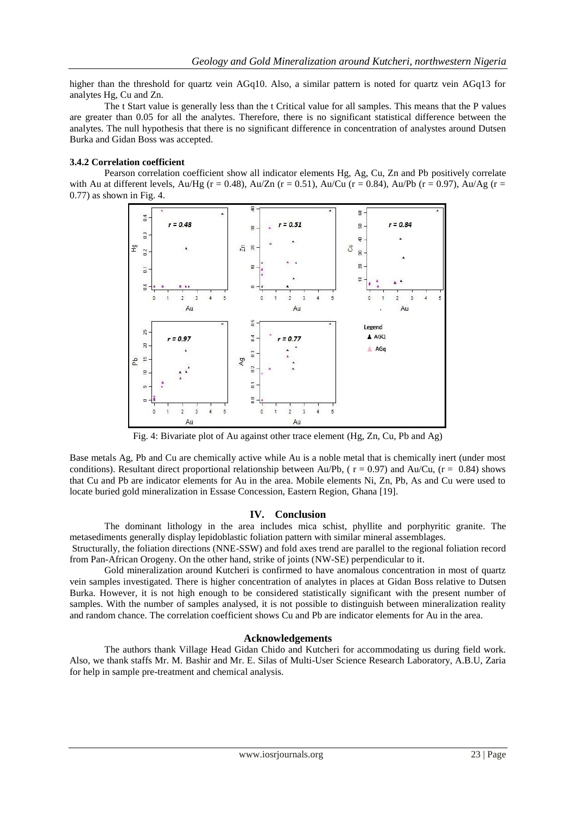higher than the threshold for quartz vein AGq10. Also, a similar pattern is noted for quartz vein AGq13 for analytes Hg, Cu and Zn.

The t Start value is generally less than the t Critical value for all samples. This means that the P values are greater than 0.05 for all the analytes. Therefore, there is no significant statistical difference between the analytes. The null hypothesis that there is no significant difference in concentration of analystes around Dutsen Burka and Gidan Boss was accepted.

#### **3.4.2 Correlation coefficient**

Pearson correlation coefficient show all indicator elements Hg, Ag, Cu, Zn and Pb positively correlate with Au at different levels, Au/Hg (r = 0.48), Au/Zn (r = 0.51), Au/Cu (r = 0.84), Au/Pb (r = 0.97), Au/Ag (r = 0.77) as shown in Fig. 4.



Fig. 4: Bivariate plot of Au against other trace element (Hg, Zn, Cu, Pb and Ag)

Base metals Ag, Pb and Cu are chemically active while Au is a noble metal that is chemically inert (under most conditions). Resultant direct proportional relationship between Au/Pb, ( $r = 0.97$ ) and Au/Cu, ( $r = 0.84$ ) shows that Cu and Pb are indicator elements for Au in the area. Mobile elements Ni, Zn, Pb, As and Cu were used to locate buried gold mineralization in Essase Concession, Eastern Region, Ghana [19].

#### **IV. Conclusion**

The dominant lithology in the area includes mica schist, phyllite and porphyritic granite. The metasediments generally display lepidoblastic foliation pattern with similar mineral assemblages.

Structurally, the foliation directions (NNE-SSW) and fold axes trend are parallel to the regional foliation record from Pan-African Orogeny. On the other hand, strike of joints (NW-SE) perpendicular to it.

Gold mineralization around Kutcheri is confirmed to have anomalous concentration in most of quartz vein samples investigated. There is higher concentration of analytes in places at Gidan Boss relative to Dutsen Burka. However, it is not high enough to be considered statistically significant with the present number of samples. With the number of samples analysed, it is not possible to distinguish between mineralization reality and random chance. The correlation coefficient shows Cu and Pb are indicator elements for Au in the area.

#### **Acknowledgements**

The authors thank Village Head Gidan Chido and Kutcheri for accommodating us during field work. Also, we thank staffs Mr. M. Bashir and Mr. E. Silas of Multi-User Science Research Laboratory, A.B.U, Zaria for help in sample pre-treatment and chemical analysis.